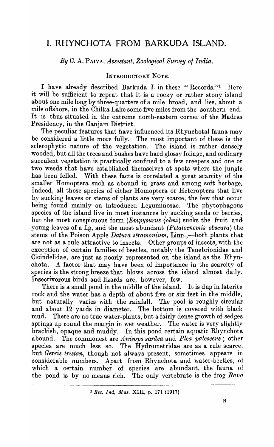# **I. RHYNCHOTA FROM BARKUDA ISLAND.**

*By* C. A. PAIVA, *Assistant, Zoological Survey 0/ India.* 

# INTRODUCTORY NOTE.

I have already described Barkuda I. in these "Records."<sup>1</sup> Here it will be sufficient to repeat that it is a rocky or rather stony island about one mile long by three-quarters of a mile broad, and lies, about a mile offshore, in the Chilka Lake some five miles from the southern end. It is thus situated in the extreme north-eastern corner of the Madras Presidency, in the Ganjam District.

The peculiar features that have influenced its Rhynchotal fauna may be considered a little more fully. The most important of these is the sclerophytic nature of the vegetation. The island is rather densely wooded, but all the trees and bushes have hard glossy foliage, and ordinary succulent vegetation is practically confined to a few creepers and one or two weeds that have established themselves at spots where the jungle has been felled. With these facts is correlated a great scarcity of the smaller Homoptera such as abound in grass and among soft herbage. Indeed, all those species of either Homoptera or Heteroptera that live by sucking leaves or stems of plants are very scarce, the few that occur being found mainly on introduced Leguminosae. The phytophagous species of the island live in most instances by sucking seeds or berries, but the most conspicuous form *(Empysurus iohni)* sucks the fruit and· young leaves of a fig, and the most abundant *(Petalocnemis obscura)* the stems of the Poison Apple *Datura stramonium*, Linn.,--both plants that are not as a rule attractive to insects. Other groups of insects, with the exception of certain families of beetles, notably the Tenebrionidae and Cicindelidae, are just as poorly represented on the island as the Rhynchota. A factor that may have been of importance in the scarcity of species is the strong breeze that blows across the island almost daily. Insectivorous birds and lizards are, however, few.

There is a small pond in the middle of the island. It is dug in laterite rock and the water has a depth of about five or six feet in the middle, but naturally varies with the rainfall. The pool is roughly circular and about 12 yards in diameter. The bottom is covered with black mud. There are no true water-plants, but a fairly dense growth of sedges springs up round the margin in wet weather. The water is very slightly brackish, opaque and muddy. In this pond certain aquatic Rhynchota abound. The commonest are *Anisops sardea* and *Plea palescens*; other species are much less so. The Hydrometridae are as a rule scarce, but *Gerris tristan,* though not always present, sometimes appears in considerable numbers. Apart from Rhynchota and water-beetles, of which a certain number of species are abundant, the fauna of the pond is by no means rich. The only vertebrate is the frog *Rana* 

<sup>1</sup> *Rec. Ind. Mus.* XIII, p. 171 (1917).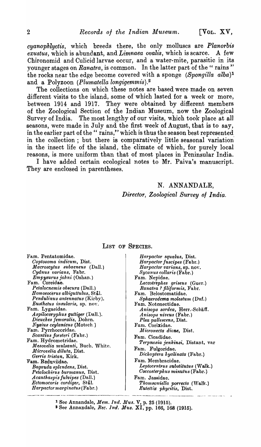*cyanophlyctis,* which breeds there, the only molluscs are *Planorbis exustus,* which is abundant, and *Limnaea ovalis,* which is scarce. A few Chironomid and Culicid larvae occur, and a water-mite, parasitic in its younger stages on *Ranatra*, is common. In the latter part of the "rains" the rocks near the edge become covered with a sponge *(Spongilla alba)1*  and a Polyzoon *(Plumatella longigemmis).2* 

The collections on which these notes are based were made on seven different visits to the island, some of which lasted for a week or more, between 1914 and 1917. They were obtained by different members of the Zoological Section of the Indian Museum, now the Zoological Survey of India. The most lengthy of our visits, which took place at al1 seasons, were made in July and the first week of August, that is to say, in the earlier part of the " rains," which is thus the season best represented in the collection; but there is comparatively little seasonal variation· in the insect life of the island, the climate of which, for purely local reasons, is more uniform than that of most places in Peninsular India.

I have added certain ecological notes to Mr. Paiva's manuscript. They are enclosed in parentheses.

# N. ANNANDALE, *Director, Zoological Survey of India.*

## LIST OF SPECIES.

Fam. Pentatomidae. *Coptosoma indicum,* Dist. *M acroscytus subaeneus* (Dall.) *Cydnus varians,* Fa hr. *EmPYBurus johni* (Oshan.) Fam. Coreidae. *Petalocnemis ob8cura* (Dall.)  $Homeo$ *cerus albiguttulus, Stål. Pendulinus antennatu8* (Kirby). *Eusthetus insularis*, sp. nov. Fam. Lygaeidae.  $A$ *spilocoryphus guttiger* (Dall.). *Dieuches fernoralis,* Dohrn.  $Nysius$  *ceylanicus* (Motsch.) Fam. Pyrrhocoridae. *ScantiuB forsteri* (Fabr.) Fam. Hydrometridae.  $M$ esovelia mulsanti, Buch. White.  $Microvelia$  diluta, Dist. *Gerris tristan*, Kirk. Fam. Reduviidae. *Bagauda splendens,* Dist.  $P$ etalochirus burmanus, Dist. *Acanthaspis fulvipeB* (DaIl.) *Ectomocoris cordl'ger,* Stal. Harpactor marginatus (Fabr.)

*Harpactor squaluB,* Dist. *Harpactor fuscipes* (Fabr.)  $Harpactor \, varians$ , sp. nov. *Sycanus collaris* (Fabr.) Fam. Nepidae. *Laccotrephes griseus* (Guer.) *Ranatra* ? *filiform is,* Fabr. Fam. Belostomatidae.  $Sphaerodema molestum (Duf.)$ Fam. Notonectidae. *Am'Bops sardea,* Herr.-Schaff. A *nisops nive'us* (Fabr.) *Plea pallescens,* Dist. Fam. Corixidae. ],.[ *icronecta dione,* Dist. Fam. Cicadidae. *Terpnosia jenkinsi,* Distant, var Fam. Fulgoridae.  $Dichoptera hyalinata$  (Fabr.) Fam. Mem bracidae. Leptocentrus substitutus (Walk.)  $Cocosterphus minutus$  (Fabr.) Fam. Jassidae. *Thomsoniella porrecta* (Walk.) *EuteUix pllycitis,* Dist.

<sup>1</sup> Sec Annandale, *Mem. Ind. Mus.* V, p. 25 (1915).

<sup>2</sup> See Annandale, *Rec. 1nd. Mus.* XI, pp. 166, 168 (1915).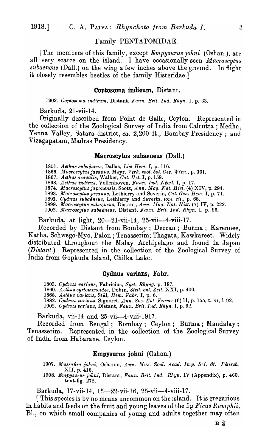## Family PENTATOMIDAE.

[The members of this family, except *Empysurus johni* (Oshan.), are all very scarce on the island. I have occasionally seen *Macroscytus subaeneus* (Dall.) on the wing a few inches above the ground. In flight it closely resembles beetles of the family Histeridae.]

## Coptosoma indicum, Distant.

*1902. Ooptosoma indicum,* Distant, *Faun. Br1·t. Ind. Rhyn.* I, p. 33.

Barkuda, 21-vii-14.

Originally described from Point de Galle, Ceylon. Represented in the collection of the Zoological Survey of India from Calcutta; Medha. Yenna Valley, Satara district, *ca.* 2,200 ft., Bombay Presidency; and Vizagapatam, Madras Presidency.

#### Macroscytus subaeneus (DaIl.)

*1851. Aethus subaeneus,* Dallas, *L1'St Bern.* I, p. 116.

*1866. Macroscytusjavanus,* Mayr, *Verlt. %ool. bot. Ges. Wien.,* p. 361.

*1867. Aethus aequalis,* Walker, *Oat. Bet.* I, p. 159.

1868. Aethus indicus, Vollenhoven, Faun. Ind. Neerl. I, p. 17.

*1874. lrlacroscytusjapon£nsis,* Scott, *Ann. Mag. Nat. Hist.* (4) XIV, p. 294.

1893. *Macroscytus javanus*, Lethierry and Severin, *Cat. Gen. Hem.* I, p. 71.

1893. Cydnus subaëneus, Lethierry and Severin, *tom. cit.*, p. 68.

1899. Macroscytus subaëneus, Distant, *Ann. Mag. Nat. Hist.* (7) IV, p. 222. 1902. Macroscytus subaëneus, Distant, Faun. Brit. Ind. Rhyn. I, p. 96.

Barkuda, at light, 20-21-vii-14, 25-vii-4-viii-17.

Recorded by Distant from Bombay; Deccan; Burma; Karennee, Katha, Schwego-Myo, Palon ; Tenasserim; Thagata, Kawkareet. Widely distributea throughout the Malay Archipelago and found in Japan (*Distant.*) Represented in the collection of the Zoological Survey of India from Gopkuda Island, Chilka Lake.

#### Cydnus varians, Fabr.

- *1803. Oydnus varians,* Fabricius, *8yst. Rhyng.* p. 187.
- 1860. Aethus cyrtomenoides, Dohin, *Stett. ent. Zeit.* XXI, p. 400.
- 1868. Aethus varians, Stål, *Hem. Fabr.* I, p. 6.
- *1882. Oydm.ls varians,* Signoret, *Ann. Soc. Ent. France* (6) 11, p. 155, t. vi, f. 92.
- *1902. Oydnus varians,* Distant, *Faun. Brit. Ind. Rhyn.* I, p. 92.

Barkuda, vii-14 and 25-vii-4-viii-1917.

Recorded from Bengal; Bombay; Ceylon; Burma; Mandalay; Tenasserim. Represented in the collection of the Zoological Survey of India from Habarane, Ceylon.

## Empysurus johni (Oshan.)

1907. Mussafira johni, Oshanin, *Ann. Mus. Zool. Acad. Imp. Sci. St. Pétersb.* XII, p. 416.

*1908. Emlysurus jolmi,* Distant, *Faun. Brit. Ind. Rhyn.* IV (Appendix), p. 460. text-fig. 272.

Barkuda, 17-vii-14, 15—22-vii-16, 25-vii—4-viii-17.

[ This species is by no means uncommon on the island. It is gregarious in habits and feeds on the fruit and young leaves of the fig Ficus Rumphii, Bl., on which small companies of young and adults together may often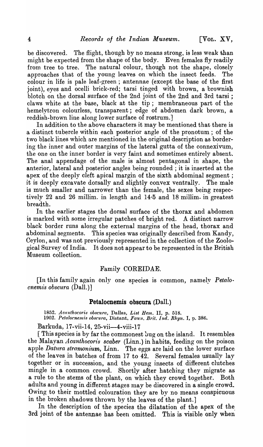be discovered. The flight, though by no means strong, is less weak than might be expected from the shape of the body. Even females fly readily from tree to tree. The natural colour, though not the shape, closely approaches that of the young leaves on which the insect feeds. The colour in life is pale leaf-green; antennae (except the base of the first joint), eyes and ocelli brick-red; tarsi tinged with brown, a brownish blotch on the dorsal surface of the 2nd joint of the 2nd and 3rd tarsi; claws \vhite at the base, black at the tip; membraneous part of the hemelytron colourless, transparent; edge of abdomen dark brown, a reddish-brown line along lower surface of rostrum.]

In addition to the above characters it may be mentioned that there is a distinct tubercle within each posterior angle of the pronotum; of the two black lines which are mentioned in the original description as bordering the inner and outer margins of the lateral gutta of the connexivum, the one on the inner border is very faint and sometimes entirely absent. The anal appendage of the male is almost pentagonal in shape, the anterior, lateral and posterior angles being rounded; it is inserted at the apex of the deeply cleft apical margin of the sixth abdominal segment; it is deeply excavate dorsally and slightly convex ventrally. The male is much smaller and narrower than the female; the sexes being respectively 22 and 26 millim. in length and  $14.5$  and  $18$  millim. in greatest breadth.

In the earlier stages the dorsal surface of the thorax and abdomen is marked with some irregular patches of bright red. A distinct narrow black border runs along the external margins of the head, thorax and abdominal segments. This species was originally described from Kandy, Ceylon, and was not previously represented in the collection of the Zoological Survey of India. It does not appear to be represented in the British Museum collection.

## Family COREIDAE.

[In this fanlily again only one species is common, namely *Petalo· cnemis obscura* (DaIl.)]

## **Petalocnemis obscura** (Dall.)

*1852. Acanihocoris obscu'ra,* Dallas, *List Hem.* II, p. 518. *1902. Pelalocnemis obscura.,* Dist,ant, *Faun. Brit. Ind. Rhyn.* I, p. 386.

Barkuda, 17-vii-14, 25-vii-4-viii-17

[ This species is by far the commonest bug on the island. It resembles the Malayan *Acanthocoris scaber* (Linn.) in habits, feeding on the poison apple *Datura stramonium*, Linn. The eggs are laid on the lower surface of the leaves in batches of from 17 to  $42$ . Several females usually lay together or in succession, and the young insects of different clutches mingle in a common crowd. Shortly after hatching they migrate as a rule to the stems of the plant, on which they crowd together. Both adults and young in different stages may be discovered in a single crowd. Owing to their mottled colouration they are by no means conspicuous in the broken shadows thrown by the leaves of the plant.]

In the description of the species the dilutation of the apex of the. 3rd joint of the antennae has been omitted. This is visible only when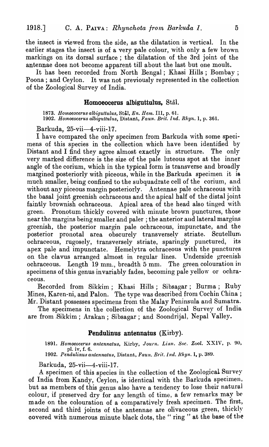the insect is viewed from the side, as the dilatation is vertical. In the earlier stages the insect is of a very pale colour, with only a few brown markings on its dorsal surface; the dilatation of the 3rd joint of the antennae does not become apparent till about the last but one moult.

It has been recorded from North Bengal; Khasi Hills; Bombay; Poona ; and Ceylon. It was not previously represented in the collection of the Zoological Survey of India.

#### **Homoeocerus albiguttulus, Stål.**

1873. Homoeocerus albiguttulus, Stål, *En. Hem.* III, p. 61. *1902. Homoeocerus albiguttulus,* Distant, *Faun. Brit. Ind. Rhyn.* I, p. 361.

Barkuda, 25-vii-4-viii-17.

I have compared the only specimen from Barkuda with some specimens of this species in the collection which have been identified by Distant and I find they agree almost exactly in structure. The only very marked difference is the size of the pale luteous spot at the inner angle of the corium, which in the typical form is transverse and broadly margined posteriorly with piceous, while in the Barkuda specimen it is much smaller, being confined to the subquadrate cell of the corium, and without any piceous margin posteriorly. Antennae pale ochraceous with the basal joint greenish ochraceous and the apical half of the distal joint faintly brownish ochraceous. Apical area of the head also tinged with green. Pronotum thickly covered with minute brown punctures, those near the margins being smaller and paler; the anterior aud lateral margins greenish, the posterior margin pale ochraceous, impunctate, and the posterior pronotal area obscurely transversely striate. Scutellum ochraceous, rugosely, transversely striate, sparingly punctured, its apex pale and impunctate. Hemelytra ochraceous with the punctures on the clavus arranged almost in regular lines. Underside greenish ochraceous. Length 19 mm., breadth 5 mm. The green colouration in specimens of this genus invariably fades, becoming pale yellow or ochraceous.

Recorded from Sikkim; Khasi Hills; Sibsagar; Burma; Ruby Mines, Karen-ni, and Palon. The type was described from Cochin China; Mr. Distant possesses specimens from the Malay Peninsula and Sumatra.

The specimens in the collection of the Zoological Survey of India are from .Sikkim; Arakan; Sibsagar; and Soondrijal, Nepal Valley.

## **Pendulinus antennatus** (Kirby).

1891. *Homoeoceru8 antennatus,* Kirby, *Journ. Linn. Soc. Zaol.* XXIV, p. 90, pI. iv, f. 6.

*1902. Pendulinus antennatus,* Distant, *Faun. Brit. indo Rhyn.* I, p. 389.

Barkuda, 25-vii-4-viii-17.

A specimen of this species in the collection of the Zoological Survey of India from Kandy, Ceylon, is identical with the Barkuda specimen, but as members of this genus also have a tendency to lose their natural colour, if preserved dry for any length of time, a few remarks may be made on the colouration of a comparatively fresh specimen. The first, second and third joints of the antennae are olivaceous green, thickly covered with numerous minute black dots, the "ring" at the base of the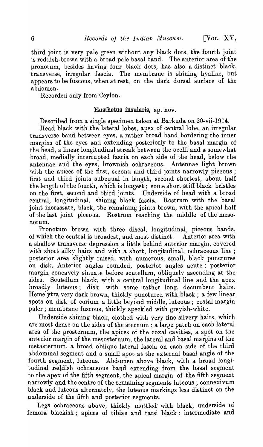third joint is very pale green without any black dots, the fourth joint is reddish-brown with a broad pale basal band. The anterior area of the pronotum, besides having four black dots, has also a distinct black, transverse, irregular fascia. The membrane is shining hyaline, but appears to be fuscous, when at rest, on the dark dorsal surface of the abdomen.

Recorded only from Ceylon.

## Eusthetus insularis, sp. nov.

Described from a single specimen taken at Barkuda on 20-vii-1914.

Head black with the lateral lobes, apex of central lobe, an irregular transverse band between eyes, a rather broad band bordering the inner margins of the eyes and extending posteriorly to the basal margin of the head, a linear longitudinal streak between the ocelli and a somewhat broad, medially interrupted fascia on each side of the head, below the antennae and the eyes, brownish ochraceous. Antennae light brown with the apices of the first, second and third joints narrowly piceous; first and third joints subequal in length, second shortest, about half the length of the fourth, which is longest; some short stiff black bristles on the first, second and third joints. Underside of head with a broad central, longitudinal, shining black fascia. Rostrum with the basal joint incrassate, black, the remaining joints brown, with the apical half of the last joint piceous. Rostrum reaching the middle of the mesonotum.

Pronotum brown with three discal, longitudinal, piceous bands, of which the central is broadest, and most distinct. Anterior area with a shallow transverse depression a little behind anterior margin, covered with short silky hairs and with a short, longitudinal, ochraceous line; posterior area slightly raised, with numerous, small, black punctures on disk. Anterior angles rounded, posterior angles acute; posterior margin concavely sinuate before scutellum, obliquely ascending at the sides. Scutellum black, with a central longitudinal line and the apex broadly luteous; disk with some rather long, decumbent hairs. Hemelytra very dark brown, thickly punctured with black; a few linear spots on disk of corium a little beyond middle, luteous; costal margin paler; membrane fuscous, thickly speckled with greyish-white.

Underside shining black, clothed with very fine silvery hairs, which are most dense on the sides of the sternum; a large patch on each lateral area of the prosternum, the apices of the coxal cavities, a spot on the anterior margin of the mesosternum, the lateral and basal margins of the metasternum, a broad oblique lateral fascia on each side of the third a bdominal segment and a small spot at the external basal angle of the fourth segment, luteous. Abdomen above black, with a broad longitudinal reddish ochraceous band extending from the basal segment to the apex of the fifth segment, the apical margin of the fifth segment narrowly and the centre of the remaining segments luteous ; connexivum black and luteous alternately, the luteous markings less distinct on the underside of the fifth and posterior segments.

Legs ochraceous above, thickly mottled' with black, underside of femora blackish; apices of tibiae and tarsi black; intermediate and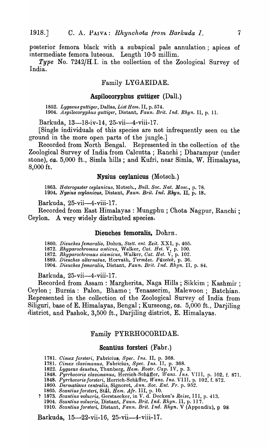posterior femora black with a subapical pale annulation; apices of intermediate femora luteous. Length 10.5 millim.

*Type* No. *7242jH.I.* in the collection of the Zoological Survey of India.

## Family LYGAEIDAE.

## **Aspilocoryphus guttiger** (Dall.)

*1852. Lygaeus guttiger,* Dallas, *List Hent.* II, p. 574. 1904. *Aspilocoryphus guttiger,* Distant, *Faun; Brit. Ind. Rhyn.* II, p. 1l.

Barkuda, 13-18-iv-14, 25-vii-4-viii-17.

[Single individuals of this species are not infrequently seen on the ground in the more open parts of the jungle.]

Recorded from North Bengal. Represented in the collection of the Zoological Survey of India from Calcutta; Ranchi; Dharampur (under stone), *ca.* 5,000 ft., Simla hills; and Kufri, near Simla, W. Himalayas, 8,000 ft.

## **Nysius ceylanicus** (Motsch.)

1863. Heterogaster ceylanicus, Motsch., *Bull. Soc. Nat. Mosc.*, p. 78. *1904. NY8iu8 ceylanicua,* Distant, *Fau.n. Brit. Ind. Rhyn.* II, p. 18.

Barkuda, 25-vii-4-viii-17.

Recorded from East Himalayas: Mungphu; Chota Nagpur, Ranchi ; Ceylon. A very widely distributed species.

## **Dieuches femoralis,** Dohrn.

1860. *Dieuches femoralis, Dohrn, Stett. ent. Zeit.* XXI, p. 405.

1872. *Rhyparochromus anticus,* Walker, *Cat. Het.* V, p. 100.

*1872. Rhyparochromu8 siamicus,* Walker, *Cat. Het.* V, p. 102.

*1889. Dieuches alternatus,* Horvath, *Termesz. Fuzetek,* p. 36.

1904. *Dieuches jemoralis,* Distant, *Faun. Brit. Ind. Rhyn.* II, p. 84.

Barkuda, 25-vii-4-viii-17.

Recorded from Assam: Margherita, Naga Hills; Sikkim ; Kashmir; Ceylon; Burma: Palon, Bhamo; Tenasserim, Malewoon; Batchian. Represented in the collection of the Zoological Survey of India from Siliguri, base of E. Himalayas, Bengal; Kurseong, *ca.* 5,000 ft., Darjiling district, and Pashok, 3,500 ft., Darjiling district, E. Himalayas.

#### Family PYRRHOCORIDAE.

#### **Scantius forsteri** (Fabr.)

- *1781. Cimex jorsteri,* Fabricius, *Spec. Ins.* II, p. 368.
- 1781. *Cimex clavimanus,* Fabricius, *Spec. Ins.* II, p. 368.
- 1822. *Lygaeus deustus,* Thunberg, *Hem. Rostr. Cap.* IV, p. 3.
- 1848. Pyrrhocoris clavimanus, Herrich-Schäffer, *Wanz. Ins. VIII*, p. 102, f. 871.
- *1848. Pyrrhocorisjorsteri,* Herrich-Schaffer, *Wanz. Ins.* VIII, p. 102, f. 872.
- 1860. *Dermatinus centralis,* Signoret, *A nne Soc. Ent. Fr.* p. 952.
- *1865. Scantius jorsteri,* Stal, *Hem. Afr.* III, p. 10.
- ? 1873. *Scantius volucris,* Gerstaecker, in V. d. Decken's *Reise,* III, p. 413.
	- *1904. Scanti'lts volucris,* Distant, *Faun. Brit. Ind. Rhyn.* II, p. 11 7.

*1910. Scantius jor8teri,* Distant, *Faun. Brit. Ind. Rhyn.* V (Appendix), p 98,

Barkuda, 15-22-vii-16, 25-vii-4-viii-17.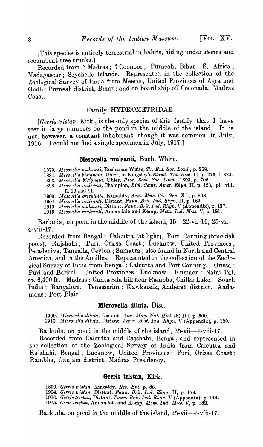[This species is entirely terrestrial in habits, hiding under stones and recumbent tree trunks.]

Recorded from ? Madras; ? Coonoor; Purneah, Bihar; S. Africa; Madagascar; Seychelle Islands. Represented in the collection of the Zoological Survey of India from Meerut, United Provinces of Agra and Oudh ; Purneah district, Bihar; and on board ship off Coconada, Madras Coast.

# Family HYDROMETRIDAE.

*[Gen'is tristan,* Kirk., is the only species of this family that I have seen in large numbers on the pond in the middle of the island. It is not, however, a constant inhabitant, though it was common in July, 1916. I could not find a single specimen in July, 1917.]

## **Mesovelia mulsanti,** Buch. White.

1879. *M e80velia 1nulsanti,* Buchanan White, *Pr. Ent. Soc. Lond.,* p. 268.

1884. *Mesovelia bisignata,* Uhler, in I(ingsley's *Stand. Nat. Hist.* II, p. 273, f. 324.

1893. *M esovelia bisignata,* Uhler, *Proc. Zool. Soc. Lond.,* 1893, p. 706.

1898. *JJlesovelia mulsanti,* Champion, *Biol. Gentr. Amer. Rhyn.* II, p. 123, pI. viii, fi. 10 and 11.

1900. *Mesovelia orientalis, Kirkaldy, Ann. Mus. Civ. Gen. XL, p. 808.* 

1904. *Mesovelia mulsanti,* Distant, *Faun. Brit. Ind. Rhyn.* II, p. 169.

1910. *Jl{esovelia 1nulsanti,* Distant, *Faun. Brit. Ind. Rhyn.* V (Appendix), p. 137.

1915. *Mesovelia mu18anti,* Annandale and I(emp, *Mem. Ind.* Mus. V, p. 181.

Barkuda, on pond in the middle of the island, 15-22-vii-16, 25-vii--4-viii-17.

Recorded from Bengal: Calcutta (at light), Port Canning (brackish pools), Rajshahi; Puri, Orissa Coast; Lucknow, United Provinces; Peradeniya, Tangalla, Ceylon; Sumatra; also found in North and Central America, and in the Antilles. Represented in the collection of the Zoological Survey of India from Bengal: Calcutta and Port Canning. Orissa: Puri and Barkul. United Provinces: Lucknow. Kumaon: Naini Tal, *ca.* 6,400 ft. Madras: Ganta Sila hill near Rambha, Chilka Lake. South India: Bangalore. Tenasserim: Kawkareik, Amherst district. Andamans: Port Blair.

#### **Microvelia diIuta,** Dist.

1909. *Microvelia diluta, Distant, Ann. Mag. Nat. Hist.* (8) III, p. 500. 1910. *Microvelia diluta, Distant, Faun. Brit. Ind. Rhyn.* V (Appendix), p. 139.

Barkuda, on pond in the middle of the island, 25-vii--4-viii-17.

Recorded from Calcutta and Rajshahi, Bengal, and represented in the collection of the Zoological Survey of India from Calcutta and Rajshahi, Bengal; Lucknow, United Provinces; Puri, Orissa Coast; Rambha, Ganjam district, Madras Presidency.

#### **Gerris tristan,** Kirk.

1899. *Gerris tristan*, Kirkaldy, Rev. Ent. p. 88.

1904. *Gerris tristan,* Distant, *Faun. Brit. Ind. Rhyn.* II, p. 179.

1910. *Genis t1'istan,* Distant. *Faun. BI·il. Ind. Rhyn.* V (Appendix); p. 144.

1915~ *Geris trlslan,* Annandale and Kemp, *Mem. Ind. Mus.* V, p. 182.

Barkuda, on pond in the middle of the island, 25-vii-4-viii-17.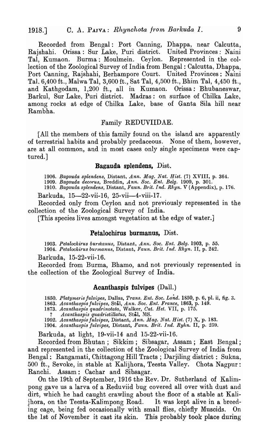Recorded from Bengal: Port Canning, Dhappa, near Calcutta, Rajshahi. Orissa: Sur Lake, Puri district. United Provinces: Naini Tal, Kumaon. Burma: Moulmein. Ceylon. Represented in the collection of the Zoological Survey of India from Bengal: Calcutta, Dhappa, Port Canning, Rajshahi, Berhampore Court. United Provinces: Naini TaL 6,400 ft., Malwa Tal, 3,600 ft., Sat Tal, 4,500 ft., Bhim Tal, 4,450 ft., and Kathgodam, 1,200 ft., all in Kumaon. Orissa: Bhubaneswar, Barkul, Sur Lake, Puri district. Madras: on surface of Chilka Lake, among rocks at edge of Chilka Lake, base of Ganta Sila hill near Rambha.

# Family REDUVIIDAE.

[All the members of this family found on the island are apparently of terrestrial habits and probably predaceous. None of them, however, are at all common, and in most cases only single specimens were captured.]

#### **Bagauda splendens,** Dist.

*1906. Bagauda splendens,* Distant, *Ann. Mag. Nat. Bist.* (7) XVIII, p. 364.

*1909. Bagauda decorus,* Breddin, *Ann. Soc. Ent. Belg.* 1909, p. 301.

*1910. Bagauda splendens,* Distant, *Faun. Brit. Ind. Rhyn.* V (Appendix), p. 176.

Barkuda, 15-22-vii-16, 25-vii-4-viii-17.

Recorded only from Ceylon and not previously represented in the collection of the Zoological Survey of India.

[This species lives amongst vegetation at the edge of water.]

#### **Petalochirus burmanus,** Dist.

*1903. Petalochirus bUrlizanus,* Distant., *Ann. Soc. Ent. Belg.* 1903, p. 55. *1904. Petalochirus burmanus,* Distant, *Faun. Brit. Ind. Rhyn.* II, p. 242.

Barkuda, 15-22-vii-16.

Recorded from Burma, Bhamo, and not previously represented in the collection of the Zoological Survey of India.

#### **Acanthaspis fulvipes** (Dall.)

1850. *Platymeris fulvipes, Dallas, Trans. Ent. Soc. Lond.* 1850, p. 6, pl. ii, fig. 3.

*1863. Acanthaspis julvipes,* Stal, *Ann. Soc. Ent. France,* 1863, p. 149.

*1873. Acanthaspis quadrinotata,* Walker, *Cat. Bet.* VII, p. 175.

? *Acanthaspis quadristillatus*, Stål, MS.

1902. *A ca nthasp is julvipes,* Distant, *Ann .* .1.11 *ag. Nat. B ist.* (7) X, p. 183. *1904. Acanthaspis julvipes,* Distant, *Faun. Brit. Ind. Ryhn.* II, p. 25U.

Barkuda, at light, 19-vii-14 and 15-22-vii-16.

Recorded from Bhutan; Sikkim; Sibsagar, Assam; East Bengal; and represented in the collection of the Zoological Survey of India from Bengal: Rangamati, Chittagong Hill Tracts; Darjiling district: Sukna, 500 ft., Sevoke, in stable at Kalijhora, Teesta Valley. Chota Nagpur: Ranchi. Assam: Cachar and Sibsagar.

On the 19th of September, 1916 the Rev. Dr. Sutherland of Kalimpong gave us a larva of a Reduviid bug covered all over with dust and dirt, which he had caught crawling about the floor of a stable at Kalijhora, on the Teesta-Kalimpong Road. It was kept alive in a breeding cage, being fed occasionally with small flies, chiefly Muscids. On the 1st of November it cast its skin. This probably took place during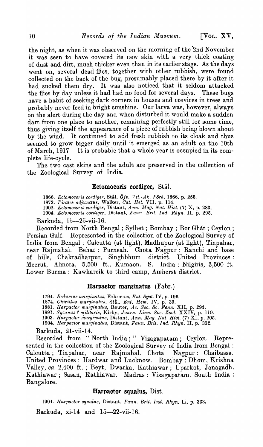the night, as when it was observed on the morning of the 2nd November it was seen to have covered its new skin with a very thick coating of dust and dirt, much thicker even than in its earlier stage. As the days went on, several dead flies, together with other rubbish, were found collected on the back of the bug, presumably placed there by it after it had sucked them dry. It was also noticed that it seldom attacked the flies by day unless it had had no food for several days. These bugs have a habit of seeking dark corners in houses and crevices in trees and probably never feed in bright sunshine. Our larva was, however, always on the alert during the day and when disturbed it would make a sudden dart from one place to another, remaining perfectly still for some time, thus giving itself the appearance of a piece of rubbish being blown about by the wind. It continued to add fresh rubbish to its cloak and thus seemed to grow bigger daily until it emerged as an adult on the 10th of March, 1917 It is probable that a whole year is occupied in its complete life-cycle.

The two cast skins and the adult are preserved in the collection of the Zoological Survey of India.

## **Ectomocoris cordiger,** Stal.

1866. *Ectomocoris cordiger, Stål, Öfv. Vet.-Ak. Förh.* 1866, p. 256.

1873. *Pirates adjunctus,* Walker, *Gat. Het.* VII, p. 114.

1902. *Ectomocoris cordiger, Distant, Ann. Mag. Nat. Hist.* (7) X, p. 283. 1904. *Ectomocoris cordiger*, Distant, *Faun. Brit. Ind. Rhyn.* II, p. 295.

Barkuda, 15-25-vii-16.

Recorded from North Bengal; Sylhet ; Bombay; Bor Ghat; Ceylon; Persian Gulf. Represented in the collection of the Zoological Survey of India from Bengal: Calcutta (at light), Madhupur (at light), Tinpahar, near Rajmahal. Behar: Purneah. Chota Nagpur: Ranchi and base of hills, Chakradharpur, Singhbhum district. United Provinces: Meerut, Almora, 5,500 ft., Kumaon. S. India: Nilgiris, 3,500 ft. Lower Burma: Kawkareik to third camp, Amherst district.

#### **Harpactor marginatus** (Fabr.)

1794. Reduvius marginatus, Fabricius, Ent. Syst. IV, p. 196.

l874. *Ghirillus marginatus,* Stal, *Ent. Hem.* IV, p. 39.

1881. *Harpactor marginatus, Reuter, Ac. Soc. Sc. Fenn. XII, p. 293.* 

1891. *Sycanus? militaris, Kirby, Journ. Linn. Soc. Zool. XXIV, p. 119.* 1903. *Harpactor marginatus,* Distant, *Ann. lJ-Iag. Nat. Hist.* (7) XI. p. 205.

1904. *Harpactor marginatus, Distant, Faun. Brit. Ind. Rhyn.* II, p. 332.

Barkuda, 21-vii-14.

Recorded from "North India;" Vizagapatam; Ceylon. Represented in the collection of the Zoological Survey of India from Bengal : Calcutta; Tinpahar, near Rajmahal. Chota Nagpur: Chaibassa.. United Provinces: Hardwar and Lucknow. Bombay: Dhom, Krishna Valley, *ca.* 2,400 ft.; Beyt, Dwarka, Kathiawar; Uparkot, Janagadh, Kathiawar; Sasan, Kathiawar. Madras: Vizagapatam. South India: Bangalore.

## **Harpactor squalus,** Dist.

1904. *Harpactor squalus*, Distant, *Faun. Brit. Ind. Rhyn.* II, p. 333.

Barkuda, xi-14 and 15-22-vii-16.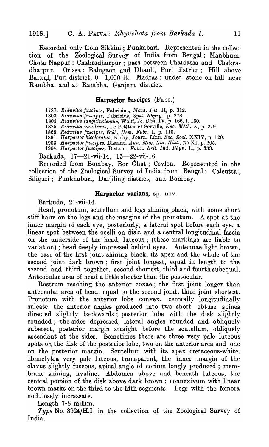Recorded only from Sikkim; Punkabari. Represented in the collection of the Zoological Survey of India from Bengal: Manbhum. Chota Nagpur: Chakradharpur; pass between Chaibassa and Chakra-Orissa: Balugaon and Dhauli, Puri district; Hill above Barkul, Puri district, 0-1,000 ft. Madras: under stone on hill near Rambha, and at Rambha, Ganjam district.

## Harpactor fuscipes (Fabr.)

*1787. Reduvius juscipes,* Fabricius, *Mant. Ins.* II, p. 312.

*1803. Reduvius juscipes,* Fabricius, *Syst. Rhyng.,* p, 278.

*1804. Reduvius sanguinolentus,* Wolff, *Ic. Oim.* 1 V, p. 166, f. 160.

1825. Reduvius corallinus, Le Pelétier et Serville, *Enc. Méth.* X, p. 279.

*1868. Reduvius* juscipe~~, Stal, *Hem, Fabr.* I, p. 110.

1891. *HdrpactO'l' bicoloratus,* Kirby, *Journ. Linn. Soc. Zool.* XXIV, p, 120.

*1903. Harpactor juscipes,* Distant, *Ann. Mag. Nat. Hist.,* (7) XI, p. 205. *1904. Harpactor jU8cipes,* Distant, *Faun. Brit. Ind. Rhyn.* II, p. 333.

Barkuda, 17-21-vii-14, 15-22-vii-16.

Recorded from Bombay, Bor Ghat; Ceylon. Represented in the collection of the Zoological Survey of India from Bengal: Calcutta; Siliguri; Punkhabari, Darjiling district, and Bombay.

#### Harpactor varians, sp. nov.

Barkuda, 21-vii-14.

Head, pronotum, scutellum and legs shining black, with some short stiff hairs on the legs and the margins of the pronotum. A spot at the inner margin of each eye, posteriorly, a lateral spot before each eye, a linear spot between the ocelli on disk, and a central longitudinal fascia on the underside of the head, luteous; (these markings are liable to variation) ; head deeply impressed behind eyes. Antennae light brown, the base of the first joint shining black, its apex and the whole of the second joint dark brown; first joint longest, equal in length to the second and third together, second shortest, third and fourth subequal. Anteocular area of head a little shorter than the postocular.

Rostrum reaching the anterior coxae; the first joint longer than anteocular area of head, equal to the second joint, third joint shortest. Pronotum with the anterior lobe convex, centrally longitudinally sulcate, the anterior angles produced into two short obtuse spines directed slightly backwards; posterior lobe with the disk slightly rounded; the sides depressed, lateral angles rounded and obliquely suberect, posterior margin straight before the scutellum, obliquely ascendant at the sides. Sometimes there are three very pale luteous spots on the disk of the posterior lobe, two on the anterior area and one on the posterior margin. Scutellum with its apex cretaceous-white. Hemelytra very pale luteous, transparent, the inner margin of the clavus slightly fuscous, apical angle of corium longly produced; membrane shining, hyaline. Abdomen above and beneath luteous, the central portion of the disk above dark brown; connexivum with linear brown marks on the third to the fifth segments. Legs with the femora nodulosely incrassate.

Length 7-8 millim.

*Type* No. 3924/H.I. in the collection of the Zoological Survey of India.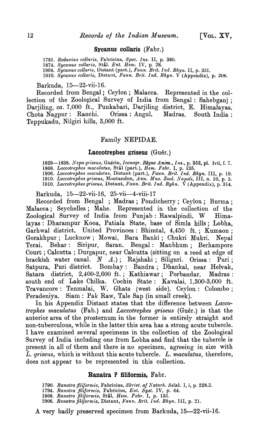#### Sycanus collaris (Fabr.)

1781. *Reduvius collaris*, Fabricius, Spec. Ins. II, p. 380.

1874. Sycanus collaris, Stål. *Ent. Hem.* IV, p. 28.

1904. *Sycanus collaris,* Distant (part.), *Faun. Brit. Ind. Rhyn.* II, p. 351.

1910. Sycanus collaris, Distant, *Faun. Brit. Ind. Rhyn.* V (Appendix), p. 208.

#### Barkuda, 15-22-vii-16.

Recorded from Bengal; Ceylon; Malacca. Represented in the collection of the Zoological Survey of India from Bengal: Sahebganj ; Darjiling, *ca.* 7,000 ft., Punkabari, Darjiling district, E. Himalayas. Chota Nagpur: Ranchi. Orissa: Angul. Madras. South India: Teppukadu, Nilgiri hills, 3,000 ft.

#### Family NEPIDAE.

#### Laccotrephes griseus  $(Guér.)$

*1829-1838. Nepa griseus,* Guerin, *Iconogr. Regne Anim., In8.,* p. 352, pI. lvii, f. 7. *1868. Laccotrephes maculatus,* Stal (part.), *Hem. Fabr.* I, p. 135.

1906. *Laccotrephes maculatus,* Distant (part.), *Faun. Brit. Ind. Rhyn.* III, p. 19. *1910. Laccotrephes griseus,* Montandon, *Ann. Mus. Zool. J.Vapoli,* III, n. 10, p. 3.

1910. *Laccotrephes gl'iseus,* Distant, *Faun. Brit. Ind. Ryhn.* V (Appendix), p. 314.

Barkuda, 15-22-vii-16, 25-vii-4-viii-17

Recorded from Bengal ; Madras; Pondicherry; Ceylon; Burma; Ma]acca; Seychelles; Mahe. Represented in the collection of the Zoological Survey of India from Punjab: Rawalpindi. W Himalayas: Dharampur Kooa, Patiala State, base of Simla hills; Lobha, Garhwal district. United Provinces: Bhimtal, 4,450 ft.; Kumaon; Gorakhpur; Lucknow; Mowai, Bara Banki; Chukri Mukri. Nepal Terai. Behar: Siripur, Saran. Bengal: Manbhum; Berhampore Court; Calcutta; Durgapur, near Calcutta (sitting on a reed at edge of brackish water canal.  $N$   $A$ .); Rajshahi; Siliguri. Orissa: Puri; Satpura, Puri district. Bombay: Bandra; Dhankal, near Helvak, Satara district, 2,400-2,600 ft.; Kathiawar; Porbandar. Madras: south end of Lake Chilka. Cochin State: Kavalai, 1,300-3,000 ft. Travancore: Tenmalai, W. Ghats (west side). Ceylon: Colombo; Peradeniya. Siam: Pak Raw, Tale Sap (in small creek).

In his Appendix Distant states that the difference between *Laccotrephes maculatus* (Fab.) and *Laccotrephes griseus* (Guér.) is that the anterior area of the prosternum in the former is entirely straight and non-tuberculous, while in the latter this area has a strong acute tubercle. I have examined several specimens in the collection of the Zoological Survey of India including one from Lobha and find that the tubercle is present in all of them and there is no specimen, agreeing in size with *L. griseus,* which is without this acute tubercle. *L. maculatus,* therefore, does not appear to be represented in this collection.

## Ranatra P filiformis, Fabr.

1790. Ranatra filiformis, Fabricius, Skrivt. af Naturh. Selsk. I, i, p. 228.3.

- *1794. Ranatra filiformis,* Fabricius, *E'nt. Syst.* IV, p. 64.
- 

1868. *Ranatra filiformis,* Stål, *Hem. Fabr.* I, p. 135.<br>1906. *Ranatra filiformis,* Distant, *Faun. Brit. Ind. Rhyn.* III, p. 21.

A very badly preserved specimen from Barkuda, 15-22-vii-16.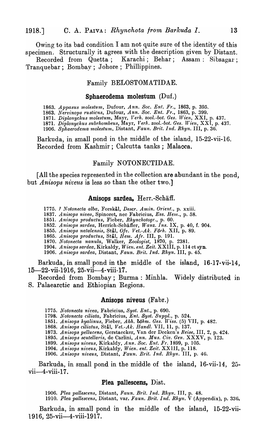Owing to its bad condition I am not quite sure of the identity of this specimen. Structurally it agrees with the description given by Distant.

Recorded from Quetta; Karachi; Behar; Assam: Sibsagar; Tranquebar; Bombay; Johore; Phillippines.

## Family BELOSTOMATIDAE.

#### Sphaerodema molestum  $(Duf.)$

1863. Appasus molestum, Dufour, Ann. Soc. Ent. Fr., 1863, p. 395.

*1863. Nervinops rustiC1.lS,* Dufour, *Ann. Soc. Ent. Fr.,* 1863, p. 399.

1871. *Diplonychus molestum,* Mayr, *Verh. zool.-bot. Ges. lVien,* XXI, p. 437.

1871. *Diplonychus subrhombeus, Mayr, Verh. zool.-bot. Ges. Wien, XXI, p. 437.* 

*1906. Sphae1"Odema molestum,* Distant, *Faun. Brit. Ind. Rhyn.* III, p. 36.

Barkuda, in small pond in the middle of the island, 15-22-vii-16. Recorded from Kashmir; Calcutta tanks; Malacca.

## Family NOTONECTIDAE.

[All the species represented in the collection are abundant in the pond, but *Anisops niveus* is less so than the other two.]

#### Anisops sardea, Herr.-Schäff.

1775. ? *Notonecta alba,* Forskal, *Deser. Amin. Orient.,* p. xxiii.

*1837. Anisops nivea,* Spinoret, nec Fabricius, *ES8. Hem.,* p. 58.

*1851. A nisops productus,* Fieber, *Rhynchotogr.,* p. 60.

1852. Anisops sardea, Herrich-Schäffer, *Wanz. Ins.* IX, p. 40, f. 904.

*1855. Anisops natalensis,* Stal, *Oiv. Vet.-Ak. Forh.* XII, p. 89.

*1865. Anisops productus,* Stal, *Hem. Afr.* III, p. 191.

*1870. Notonecta nanula,* Walker, *Zoologist,* 1870, p. 2381.

1904. *A nisops sardea,* Kirkaldy, *W ien. ent. Zeit.* XXIII, p. 114 et syn.

1906. *Anisops sardea,* Distant, *Fawn. Brit. Ind. Rhyn.* III, p. 45.

Barkuda, in small pond in the middle of the island, 16-17-vii-14, 15-22-vii-1916, 25-vii-4-viii-17.

Recorded from Bombay; Burma: Minhla. Widely distributed in S. Palaearctic and Ethiopian Regions.

#### Anisops niveus (Fabr.)

*1775. Notoneeta nit'ea,* Fabricius, *Syst. Ent.,* p. 690.

*1798. N otonecta ciliata,* Fabricius, *Ent. Byst. Suppl.,* p. 524.

*1851. Anisops hyalinus,* Fieber, *Abh. bOhm. Ges. Jriss.* (5) VII, p. 482.

*1868. Anisops ciliatus,* Stal, *Vet.-Ak. Handl.* VII, 11, p. 137.

*1873. Anisops pellucen.s,* Gerstaecker, Van del' Decken's *Reise,* III, 2, p. 424.

1895. *Anisops scutellm'is,* de Carlini, *Ann. Mus. Giv. Gen.* XXXV, p. 123.

*1899. Anisops niveus,* Kirkaldy, *Ann. Soc. Ent. Fr.* ]899, p. 105.

1904. *Anisops niveus,* Kirkaldy, *Wien. ent. Zeit.* XXIII, p. 118.

1906. *Anisops n'iveus,* Distant, *Faun. Brit. Ind.* Rhyn. III, p. 46.

Barkuda, in small pond in the middle of the island,  $16$ -vii-14,  $25$  $vii$ -4-viii-17.

#### Plea pallescens, Dist.

1906. Plea pallescens, Distant, Faun. Brit. Ind. Rhyn. III, p. 48.

1910. *Plea pallescens,* Distant, yare *Faun. Brit. Ind. Rhyn.* V (Appendix), p. 336.

Barkuda, in small pond in the middle of the island, 15-22-vii· 1916, 25-vii-4-viii-1917.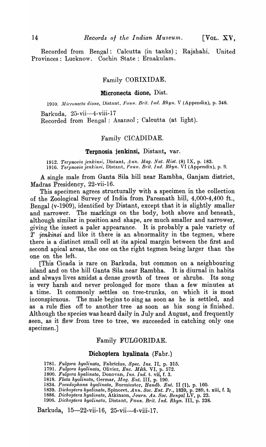Recorded from Bengal: Calcutta (in tanks); Rajshahi. United Provinces: Lucknow. Cochin State: Ernakulam.

## Family CORIXIDAE.

#### Micronecta dione, Dist.

*1910. Alicroneciu dione,* Distant, *Faull. Brit. Ind. Rhyn.* V (Appendix), p. 348.

Barkuda, 25-vii-4-viii-17

Recorded from Bengal: Asansol ; Calcutta (at light).

## Family CICADIDAE.

## Terpnosia jenkinsi, Distant, var.

*1912. Tel'pnosia jenkinsi,* Distant, *Ann. 111ag. Nat. Hist.* (8) IX, p. 183. 1916. *Terpnosia jenkinsi, Distant, Faun. Brit. Ind. Rhyn.* VI (Appendix), p. 9.

A single male from Ganta Sila hill near Rambha, Ganjam district, Madras Presidency, 22-vii-16.

This specimen agrees structurally with a specimen in the collection of the Zoological Survey of India from Paresnath hill, 4,000-4,400 ft., Bengal (v-1909), identified by Distant, except that it is slightly smaller and narrower. The markings on the body, both above and beneath, although similar in position and shape, are much smaller and narrower, giving the insect a paler appearance. It is probably a pale variety of *T J'enkinsi* and like it there is an abnormality in the tegmen, where there is a distinct small cell at its apical margin between the first and second apical areas, the one on the right tegmen being larger than the one on the left.

[This Cicada is rare on Barkuda, but common on a neighbouring island and on the hill Ganta Sila near Rambha. It is diurnal in habits and always lives amidst a dense growth of trees or shrubs. Its song is very harsh and never prolonged for more than a few minutes at a time. It commonly settles on tree-trunks, on which it is most inconspicuous. The male begins to sing as soon as he is settled, and as a rule flies off to another tree as soon as his song is finished. Although the species was heard daily in July and August, and frequently seen, as it flew from tree to tree, we succeeded in catching only one specimen.]

# Family FULGORIDAE.

## Dichoptera hyalinata (Fabr.)

*1781. Fulgora hyaUnata,* Fabricius, *Spec. Ins.* II, p. 315.

1791. *Fulgora hyalinata,* Olivier, *Enc. M eth.* VI, p. 572.

- *1800. Fulgora hyalinata,* Donovan, *Ins. Ind.* t. vii, f. 3.
- *1818. Flata hyalinata,* Germar, *Alag. Ent.* III, p. 190.
- *1834. Pseudoplzana hyalinata,* Burmiester, *Handb. Ent.* II (1), p. 160.
- *1839. Dichoptera hyalinata,* Spinoret, *Ann. Soc. Ent. Fr.,* 1839, p. 289, t. xiii, f. 3,
- 1886. *Dichoptera hyalinata, Atkinson, Journ. As. Soc. Bengal* LV, p. 23.
- *1906. Dichoptera hyalinata,* Distant" *Faun. Brit. Ind. Rllyn.* III, p. 238.

Barkuda, 15-22-vii-16~ 25-vii-4-viii-17.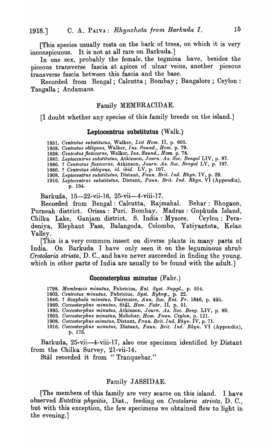[This species usually rests on the bark of trees, on which it is very inconspicuous. It is 'not at all rare on Barkuda.]

In one sex, probably the female, the tegmina have, besides the piceous transverse fascia at apices of ulnar veins, another piceous transverse fascia between this fascia and the base.

Recorded from Bengal; Calcutta; Bombay; Bangalore; Ceylon: Tangalla; Andamans.

## Family MEMBRACIDAE.

[I doubt whether any species of this family breeds on the island.]

## Leptocentrus substitutus (Walk.)

*1851. Oentrotus substitutus,* Walker, *List Hom.* II, p. 605.

*1858. Centrotus obliquus,* Walker, *Ins. Saund., Hom.* p. 79.

*1858. Centrotus jlexicorne,* Walker, *Ins. Saund., Hom.* p. 78.

1885. Leptocentrus substitutus, Atkinson, *Journ. As. Soc. Bengal* LIV, p. 87.

1886. ? *Centrotus .fiexicorne,* Atkinson, *Journ. As. Soc. Bengal* LV, p. 197.

1886. ? *Oentroty,s obliquus, ide ibid.* LV, p. 197.

*1908. Leptocent'fUs substitutus,* Distant, *Faun. Brit. Ind. Rhyn.* IV, p. 29. *1916. Leptoct-nt'fus substitutus,* Distant, *Faun. Brit. Ind. Rhyn.* VI (Appendix), p. 154.

Barkuda, 15-22-vii-16, 25-vii-4-viii-17.

Recorded from Bengal: Calcutta, Rajmahal. Behar: Bhogaon, Purneah district, Orissa: Puri. Bombay. Madras: Gopkuda Island, Chilka Lake, Ganjam district. S. India: Mysore. Ceylon: Peradeniya, Elephant Pass, Balangoda, Colombo, Yatiyantota, Kelan Valley.

[This is a very common insect on diverse plants in many parts of India. On Barkuda I have only seen it on the leguminous shrub *Orotolaria striata,* D. C., and have never succeeded in finding the young, which in other parts of India are usually to be found with the adult.]

## Coccosterphus minutus' (Fabr.)

*1798. Membracis minutus,* Fabricius, *Ent. Syst. Suppl.,* p. 514.

18()3. *Oentrotus minutus,* Fabricius, *Syst. Ryhng.,* p. 22.

1846. ? *Scaphula minutu8,* Fairmaire, *Ann. Soc. Ent. Fr.* 1846, p. 495.

1869. *Coccosterphus minutus*, Stål, *Hem. Fabr.* II, p. 51.

*1885. Ooccosterphu8 minutus,* Atkinson, *Journ. As. Soc. Beng.* LIV, p. 89.

1903. *Coccosterphu8 minutus,* Melichar, *Hom. Faun. Oeylon,* p. 12l.

*1908: Ooccoste'rphus minutus,* Distant, *Faun. Brit. Ind. Rhyn.* IV, p. 71.

1916. Coccosterphus minutus, Distant, Faun. Brit. Ind. Rhyn. VI (Appendix), p. 175.

Barkuda, 25-vii-4-viii-17, also one specimen identified by Distant from the Chilka Survey, 21-vii-14.

Stål recorded it from "Tranquebar."

## Family JASSIDAE.

[The members of this family are very scarce on this island. I have observed *Eutetl'ix phycitis,* Dist., feeding on *Orotolaria striata,* D. C., but with this exception, the few specimens we obtained flew to light in the evening.]